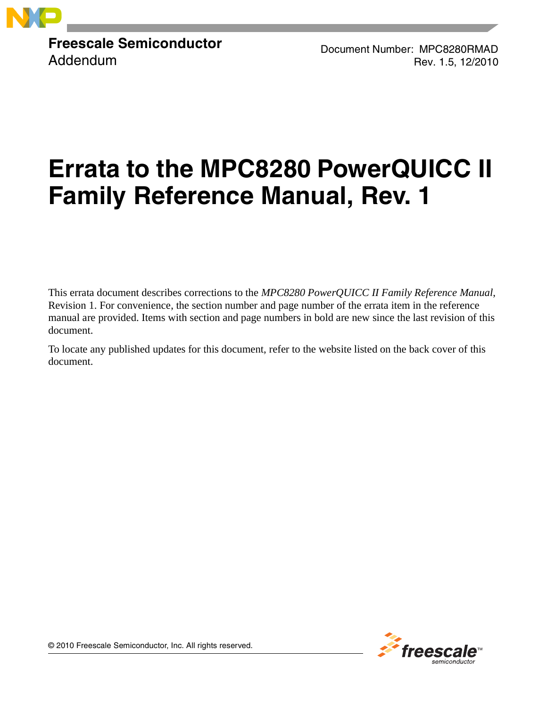

**Freescale Semiconductor** Addendum

Document Number: MPC8280RMAD Rev. 1.5, 12/2010

# **Errata to the MPC8280 PowerQUICC II Family Reference Manual, Rev. 1**

This errata document describes corrections to the *MPC8280 PowerQUICC II Family Reference Manual*, Revision 1. For convenience, the section number and page number of the errata item in the reference manual are provided. Items with section and page numbers in bold are new since the last revision of this document.

To locate any published updates for this document, refer to the website listed on the back cover of this document.



© 2010 Freescale Semiconductor, Inc. All rights reserved.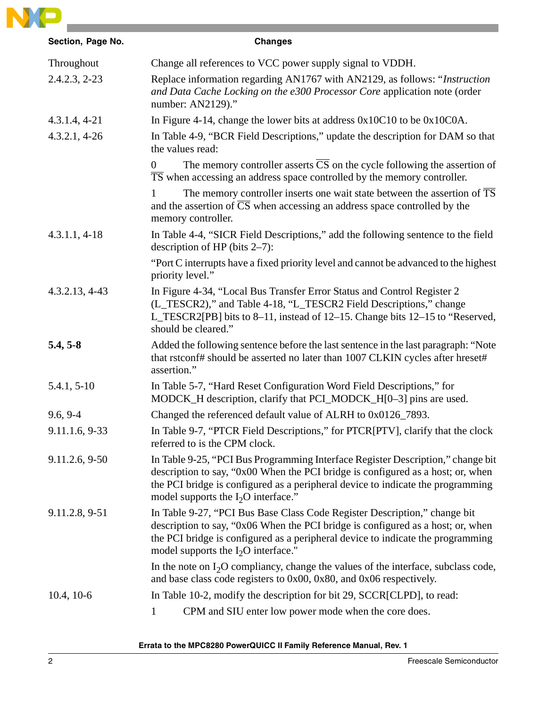

| Section, Page No. | <b>Changes</b>                                                                                                                                                                                                                                                                                 |
|-------------------|------------------------------------------------------------------------------------------------------------------------------------------------------------------------------------------------------------------------------------------------------------------------------------------------|
| Throughout        | Change all references to VCC power supply signal to VDDH.                                                                                                                                                                                                                                      |
| $2.4.2.3, 2-23$   | Replace information regarding AN1767 with AN2129, as follows: "Instruction<br>and Data Cache Locking on the e300 Processor Core application note (order<br>number: AN2129)."                                                                                                                   |
| $4.3.1.4, 4-21$   | In Figure 4-14, change the lower bits at address $0x10C10$ to be $0x10C0A$ .                                                                                                                                                                                                                   |
| $4.3.2.1, 4-26$   | In Table 4-9, "BCR Field Descriptions," update the description for DAM so that<br>the values read:                                                                                                                                                                                             |
|                   | The memory controller asserts $\overline{CS}$ on the cycle following the assertion of<br>$\theta$<br>TS when accessing an address space controlled by the memory controller.                                                                                                                   |
|                   | The memory controller inserts one wait state between the assertion of $\overline{TS}$<br>and the assertion of $\overline{CS}$ when accessing an address space controlled by the<br>memory controller.                                                                                          |
| $4.3.1.1, 4-18$   | In Table 4-4, "SICR Field Descriptions," add the following sentence to the field<br>description of HP (bits $2-7$ ):                                                                                                                                                                           |
|                   | "Port C interrupts have a fixed priority level and cannot be advanced to the highest<br>priority level."                                                                                                                                                                                       |
| $4.3.2.13, 4-43$  | In Figure 4-34, "Local Bus Transfer Error Status and Control Register 2<br>(L_TESCR2)," and Table 4-18, "L_TESCR2 Field Descriptions," change<br>L_TESCR2[PB] bits to 8-11, instead of 12-15. Change bits 12-15 to "Reserved,<br>should be cleared."                                           |
| $5.4, 5-8$        | Added the following sentence before the last sentence in the last paragraph: "Note<br>that rstconf# should be asserted no later than 1007 CLKIN cycles after hreset#<br>assertion."                                                                                                            |
| $5.4.1, 5-10$     | In Table 5-7, "Hard Reset Configuration Word Field Descriptions," for<br>MODCK_H description, clarify that PCI_MODCK_H[0-3] pins are used.                                                                                                                                                     |
| $9.6, 9-4$        | Changed the referenced default value of ALRH to 0x0126_7893.                                                                                                                                                                                                                                   |
| 9.11.1.6, 9-33    | In Table 9-7, "PTCR Field Descriptions," for PTCR[PTV], clarify that the clock<br>referred to is the CPM clock.                                                                                                                                                                                |
| 9.11.2.6, 9-50    | In Table 9-25, "PCI Bus Programming Interface Register Description," change bit<br>description to say, "0x00 When the PCI bridge is configured as a host; or, when<br>the PCI bridge is configured as a peripheral device to indicate the programming<br>model supports the $I_2O$ interface." |
| 9.11.2.8, 9-51    | In Table 9-27, "PCI Bus Base Class Code Register Description," change bit<br>description to say, "0x06 When the PCI bridge is configured as a host; or, when<br>the PCI bridge is configured as a peripheral device to indicate the programming<br>model supports the $I_2O$ interface."       |
|                   | In the note on $I_2O$ compliancy, change the values of the interface, subclass code,<br>and base class code registers to $0x00$ , $0x80$ , and $0x06$ respectively.                                                                                                                            |
| $10.4, 10-6$      | In Table 10-2, modify the description for bit 29, SCCR[CLPD], to read:                                                                                                                                                                                                                         |
|                   | CPM and SIU enter low power mode when the core does.<br>$\mathbf 1$                                                                                                                                                                                                                            |

**Errata to the MPC8280 PowerQUICC II Family Reference Manual, Rev. 1**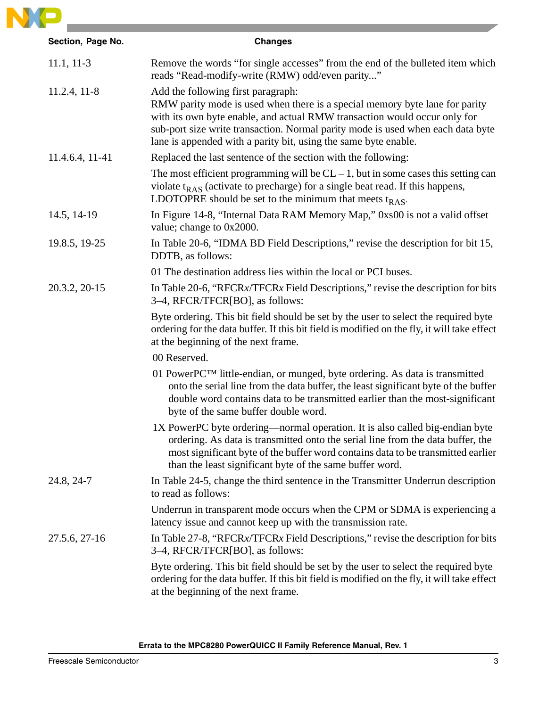

| Section, Page No. | <b>Changes</b>                                                                                                                                                                                                                                                                                                                                       |
|-------------------|------------------------------------------------------------------------------------------------------------------------------------------------------------------------------------------------------------------------------------------------------------------------------------------------------------------------------------------------------|
| $11.1, 11-3$      | Remove the words "for single accesses" from the end of the bulleted item which<br>reads "Read-modify-write (RMW) odd/even parity"                                                                                                                                                                                                                    |
| $11.2.4, 11-8$    | Add the following first paragraph:<br>RMW parity mode is used when there is a special memory byte lane for parity<br>with its own byte enable, and actual RMW transaction would occur only for<br>sub-port size write transaction. Normal parity mode is used when each data byte<br>lane is appended with a parity bit, using the same byte enable. |
| 11.4.6.4, 11-41   | Replaced the last sentence of the section with the following:                                                                                                                                                                                                                                                                                        |
|                   | The most efficient programming will be $CL - 1$ , but in some cases this setting can<br>violate $t_{RAS}$ (activate to precharge) for a single beat read. If this happens,<br>LDOTOPRE should be set to the minimum that meets $t_{RAS}$ .                                                                                                           |
| 14.5, 14-19       | In Figure 14-8, "Internal Data RAM Memory Map," 0xs00 is not a valid offset<br>value; change to 0x2000.                                                                                                                                                                                                                                              |
| 19.8.5, 19-25     | In Table 20-6, "IDMA BD Field Descriptions," revise the description for bit 15,<br>DDTB, as follows:                                                                                                                                                                                                                                                 |
|                   | 01 The destination address lies within the local or PCI buses.                                                                                                                                                                                                                                                                                       |
| 20.3.2, 20-15     | In Table 20-6, "RFCRx/TFCRx Field Descriptions," revise the description for bits<br>3–4, RFCR/TFCR[BO], as follows:                                                                                                                                                                                                                                  |
|                   | Byte ordering. This bit field should be set by the user to select the required byte<br>ordering for the data buffer. If this bit field is modified on the fly, it will take effect<br>at the beginning of the next frame.                                                                                                                            |
|                   | 00 Reserved.                                                                                                                                                                                                                                                                                                                                         |
|                   | 01 PowerPCTM little-endian, or munged, byte ordering. As data is transmitted<br>onto the serial line from the data buffer, the least significant byte of the buffer<br>double word contains data to be transmitted earlier than the most-significant<br>byte of the same buffer double word.                                                         |
|                   | 1X PowerPC byte ordering—normal operation. It is also called big-endian byte<br>ordering. As data is transmitted onto the serial line from the data buffer, the<br>most significant byte of the buffer word contains data to be transmitted earlier<br>than the least significant byte of the same buffer word.                                      |
| 24.8, 24-7        | In Table 24-5, change the third sentence in the Transmitter Underrun description<br>to read as follows:                                                                                                                                                                                                                                              |
|                   | Underrun in transparent mode occurs when the CPM or SDMA is experiencing a<br>latency issue and cannot keep up with the transmission rate.                                                                                                                                                                                                           |
| 27.5.6, 27-16     | In Table 27-8, "RFCRx/TFCRx Field Descriptions," revise the description for bits<br>3–4, RFCR/TFCR[BO], as follows:                                                                                                                                                                                                                                  |
|                   | Byte ordering. This bit field should be set by the user to select the required byte<br>ordering for the data buffer. If this bit field is modified on the fly, it will take effect<br>at the beginning of the next frame.                                                                                                                            |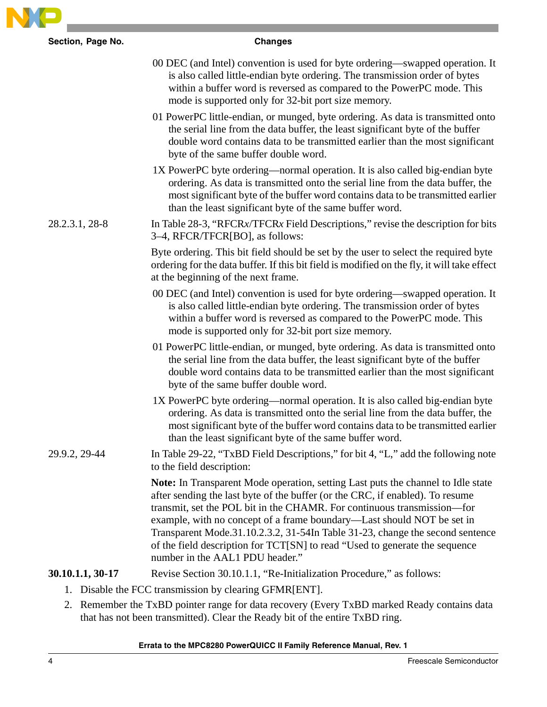| Section, Page No. | <b>Changes</b>                                                                                                                                                                                                                                                                                                                                                                                                                                                                                                            |
|-------------------|---------------------------------------------------------------------------------------------------------------------------------------------------------------------------------------------------------------------------------------------------------------------------------------------------------------------------------------------------------------------------------------------------------------------------------------------------------------------------------------------------------------------------|
|                   | 00 DEC (and Intel) convention is used for byte ordering—swapped operation. It<br>is also called little-endian byte ordering. The transmission order of bytes<br>within a buffer word is reversed as compared to the PowerPC mode. This<br>mode is supported only for 32-bit port size memory.                                                                                                                                                                                                                             |
|                   | 01 PowerPC little-endian, or munged, byte ordering. As data is transmitted onto<br>the serial line from the data buffer, the least significant byte of the buffer<br>double word contains data to be transmitted earlier than the most significant<br>byte of the same buffer double word.                                                                                                                                                                                                                                |
|                   | 1X PowerPC byte ordering—normal operation. It is also called big-endian byte<br>ordering. As data is transmitted onto the serial line from the data buffer, the<br>most significant byte of the buffer word contains data to be transmitted earlier<br>than the least significant byte of the same buffer word.                                                                                                                                                                                                           |
| 28.2.3.1, 28-8    | In Table 28-3, "RFCRx/TFCRx Field Descriptions," revise the description for bits<br>3–4, RFCR/TFCR[BO], as follows:                                                                                                                                                                                                                                                                                                                                                                                                       |
|                   | Byte ordering. This bit field should be set by the user to select the required byte<br>ordering for the data buffer. If this bit field is modified on the fly, it will take effect<br>at the beginning of the next frame.                                                                                                                                                                                                                                                                                                 |
|                   | 00 DEC (and Intel) convention is used for byte ordering—swapped operation. It<br>is also called little-endian byte ordering. The transmission order of bytes<br>within a buffer word is reversed as compared to the PowerPC mode. This<br>mode is supported only for 32-bit port size memory.                                                                                                                                                                                                                             |
|                   | 01 PowerPC little-endian, or munged, byte ordering. As data is transmitted onto<br>the serial line from the data buffer, the least significant byte of the buffer<br>double word contains data to be transmitted earlier than the most significant<br>byte of the same buffer double word.                                                                                                                                                                                                                                |
|                   | 1X PowerPC byte ordering—normal operation. It is also called big-endian byte<br>ordering. As data is transmitted onto the serial line from the data buffer, the<br>most significant byte of the buffer word contains data to be transmitted earlier<br>than the least significant byte of the same buffer word.                                                                                                                                                                                                           |
| 29.9.2, 29-44     | In Table 29-22, "TxBD Field Descriptions," for bit 4, "L," add the following note<br>to the field description:                                                                                                                                                                                                                                                                                                                                                                                                            |
|                   | Note: In Transparent Mode operation, setting Last puts the channel to Idle state<br>after sending the last byte of the buffer (or the CRC, if enabled). To resume<br>transmit, set the POL bit in the CHAMR. For continuous transmission—for<br>example, with no concept of a frame boundary—Last should NOT be set in<br>Transparent Mode.31.10.2.3.2, 31-54In Table 31-23, change the second sentence<br>of the field description for TCT[SN] to read "Used to generate the sequence<br>number in the AAL1 PDU header." |
| 30.10.1.1, 30-17  | Revise Section 30.10.1.1, "Re-Initialization Procedure," as follows:                                                                                                                                                                                                                                                                                                                                                                                                                                                      |

2. Remember the TxBD pointer range for data recovery (Every TxBD marked Ready contains data that has not been transmitted). Clear the Ready bit of the entire TxBD ring.

# **Errata to the MPC8280 PowerQUICC II Family Reference Manual, Rev. 1**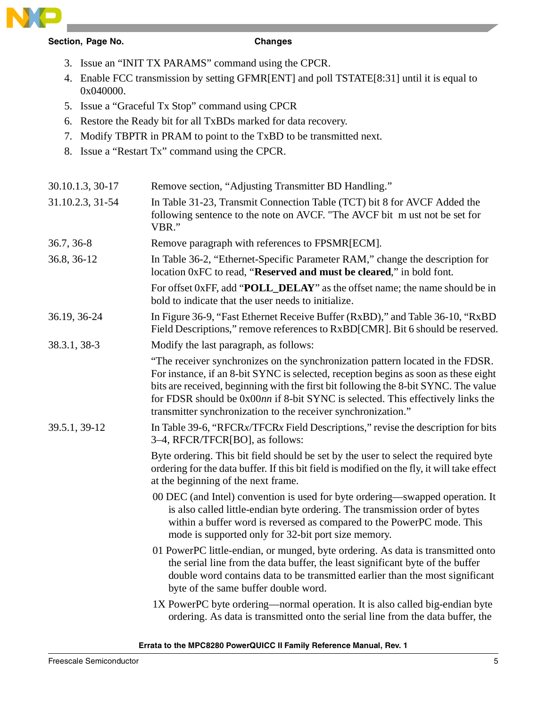

# **Section, Page No. Changes**

- 3. Issue an "INIT TX PARAMS" command using the CPCR.
- 4. Enable FCC transmission by setting GFMR[ENT] and poll TSTATE[8:31] until it is equal to 0x040000.
- 5. Issue a "Graceful Tx Stop" command using CPCR
- 6. Restore the Ready bit for all TxBDs marked for data recovery.
- 7. Modify TBPTR in PRAM to point to the TxBD to be transmitted next.
- 8. Issue a "Restart Tx" command using the CPCR.

| 30.10.1.3, 30-17 | Remove section, "Adjusting Transmitter BD Handling."                                                                                                                                                                                                                                                                                                                                                             |
|------------------|------------------------------------------------------------------------------------------------------------------------------------------------------------------------------------------------------------------------------------------------------------------------------------------------------------------------------------------------------------------------------------------------------------------|
| 31.10.2.3, 31-54 | In Table 31-23, Transmit Connection Table (TCT) bit 8 for AVCF Added the<br>following sentence to the note on AVCF. "The AVCF bit m ust not be set for<br>VBR."                                                                                                                                                                                                                                                  |
| 36.7, 36-8       | Remove paragraph with references to FPSMR[ECM].                                                                                                                                                                                                                                                                                                                                                                  |
| 36.8, 36-12      | In Table 36-2, "Ethernet-Specific Parameter RAM," change the description for<br>location 0xFC to read, "Reserved and must be cleared," in bold font.                                                                                                                                                                                                                                                             |
|                  | For offset 0xFF, add "POLL_DELAY" as the offset name; the name should be in<br>bold to indicate that the user needs to initialize.                                                                                                                                                                                                                                                                               |
| 36.19, 36-24     | In Figure 36-9, "Fast Ethernet Receive Buffer (RxBD)," and Table 36-10, "RxBD<br>Field Descriptions," remove references to RxBD[CMR]. Bit 6 should be reserved.                                                                                                                                                                                                                                                  |
| 38.3.1, 38-3     | Modify the last paragraph, as follows:                                                                                                                                                                                                                                                                                                                                                                           |
|                  | "The receiver synchronizes on the synchronization pattern located in the FDSR.<br>For instance, if an 8-bit SYNC is selected, reception begins as soon as these eight<br>bits are received, beginning with the first bit following the 8-bit SYNC. The value<br>for FDSR should be 0x00nn if 8-bit SYNC is selected. This effectively links the<br>transmitter synchronization to the receiver synchronization." |
| 39.5.1, 39-12    | In Table 39-6, "RFCRx/TFCRx Field Descriptions," revise the description for bits<br>3–4, RFCR/TFCR[BO], as follows:                                                                                                                                                                                                                                                                                              |
|                  | Byte ordering. This bit field should be set by the user to select the required byte<br>ordering for the data buffer. If this bit field is modified on the fly, it will take effect<br>at the beginning of the next frame.                                                                                                                                                                                        |
|                  | 00 DEC (and Intel) convention is used for byte ordering—swapped operation. It<br>is also called little-endian byte ordering. The transmission order of bytes<br>within a buffer word is reversed as compared to the PowerPC mode. This<br>mode is supported only for 32-bit port size memory.                                                                                                                    |
|                  | 01 PowerPC little-endian, or munged, byte ordering. As data is transmitted onto<br>the serial line from the data buffer, the least significant byte of the buffer<br>double word contains data to be transmitted earlier than the most significant<br>byte of the same buffer double word.                                                                                                                       |
|                  | 1X PowerPC byte ordering—normal operation. It is also called big-endian byte<br>ordering. As data is transmitted onto the serial line from the data buffer, the                                                                                                                                                                                                                                                  |

# **Errata to the MPC8280 PowerQUICC II Family Reference Manual, Rev. 1**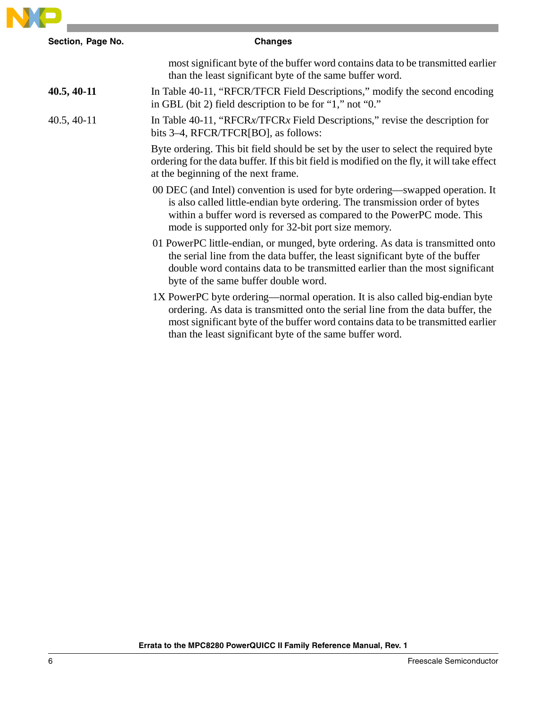

| Section, Page No. | <b>Changes</b>                                                                                                                                                                                                                                                                                                  |
|-------------------|-----------------------------------------------------------------------------------------------------------------------------------------------------------------------------------------------------------------------------------------------------------------------------------------------------------------|
|                   | most significant byte of the buffer word contains data to be transmitted earlier<br>than the least significant byte of the same buffer word.                                                                                                                                                                    |
| $40.5, 40-11$     | In Table 40-11, "RFCR/TFCR Field Descriptions," modify the second encoding<br>in GBL (bit 2) field description to be for "1," not "0."                                                                                                                                                                          |
| $40.5, 40-11$     | In Table 40-11, "RFCR $x$ /TFCR $x$ Field Descriptions," revise the description for<br>bits 3–4, RFCR/TFCR[BO], as follows:                                                                                                                                                                                     |
|                   | Byte ordering. This bit field should be set by the user to select the required byte<br>ordering for the data buffer. If this bit field is modified on the fly, it will take effect<br>at the beginning of the next frame.                                                                                       |
|                   | 00 DEC (and Intel) convention is used for byte ordering—swapped operation. It<br>is also called little-endian byte ordering. The transmission order of bytes<br>within a buffer word is reversed as compared to the PowerPC mode. This<br>mode is supported only for 32-bit port size memory.                   |
|                   | 01 PowerPC little-endian, or munged, byte ordering. As data is transmitted onto<br>the serial line from the data buffer, the least significant byte of the buffer<br>double word contains data to be transmitted earlier than the most significant<br>byte of the same buffer double word.                      |
|                   | 1X PowerPC byte ordering—normal operation. It is also called big-endian byte<br>ordering. As data is transmitted onto the serial line from the data buffer, the<br>most significant byte of the buffer word contains data to be transmitted earlier<br>than the least significant byte of the same buffer word. |